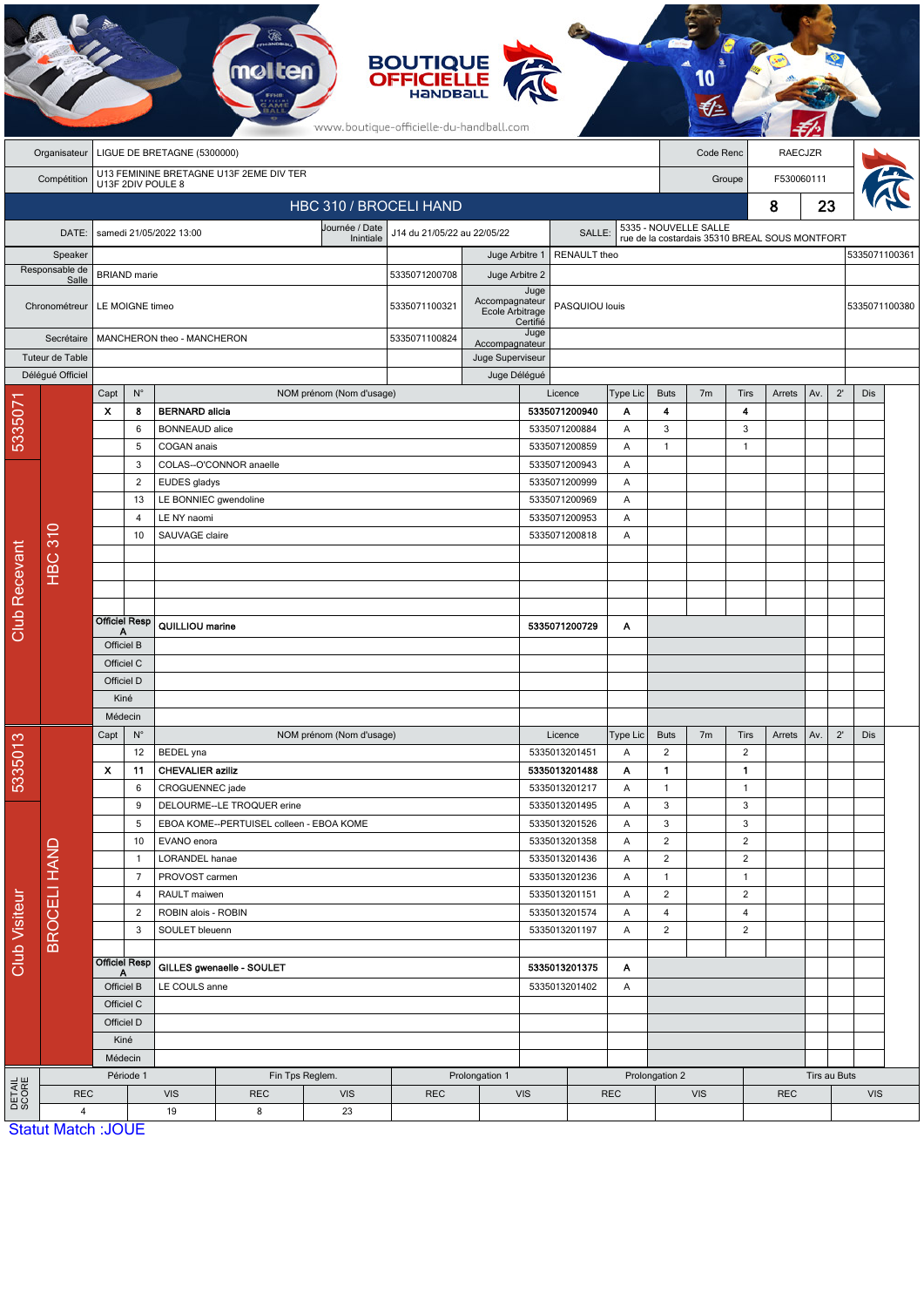|                        | <b>BOUTIQUE</b><br><b>OFFICIELLE</b><br>www.boutique-officielle-du-handball.com |                                                                |                                                                        |                           |                                          |                              |                                       |                  |                                |                          |                              |                                     |                |                                                |        |     |               |               |  |  |
|------------------------|---------------------------------------------------------------------------------|----------------------------------------------------------------|------------------------------------------------------------------------|---------------------------|------------------------------------------|------------------------------|---------------------------------------|------------------|--------------------------------|--------------------------|------------------------------|-------------------------------------|----------------|------------------------------------------------|--------|-----|---------------|---------------|--|--|
|                        | LIGUE DE BRETAGNE (5300000)<br>Organisateur                                     |                                                                |                                                                        |                           |                                          |                              |                                       |                  |                                |                          |                              | Code Renc                           |                | <b>RAECJZR</b>                                 |        |     |               |               |  |  |
|                        | Compétition                                                                     | U13 FEMININE BRETAGNE U13F 2EME DIV TER                        |                                                                        |                           |                                          |                              |                                       |                  |                                |                          | F530060111<br>Groupe         |                                     |                |                                                |        |     |               |               |  |  |
| U13F 2DIV POULE 8      |                                                                                 |                                                                |                                                                        |                           |                                          | HBC 310 / BROCELI HAND       |                                       |                  |                                |                          |                              |                                     | 23<br>8        |                                                |        |     |               |               |  |  |
|                        | DATE:                                                                           |                                                                |                                                                        | samedi 21/05/2022 13:00   |                                          | Journée / Date               | J14 du 21/05/22 au 22/05/22<br>SALLE: |                  |                                |                          |                              | 5335 - NOUVELLE SALLE               |                |                                                |        |     |               |               |  |  |
|                        | Speaker                                                                         |                                                                |                                                                        |                           |                                          | Inintiale                    |                                       | Juge Arbitre 1   |                                | RENAULT theo             |                              |                                     |                | rue de la costardais 35310 BREAL SOUS MONTFORT |        |     |               | 5335071100361 |  |  |
| Responsable de         |                                                                                 | <b>BRIAND</b> marie                                            |                                                                        |                           |                                          |                              | 5335071200708                         | Juge Arbitre 2   |                                |                          |                              |                                     |                |                                                |        |     |               |               |  |  |
|                        | Salle<br>Chronométreur                                                          |                                                                | LE MOIGNE timeo                                                        |                           |                                          | 5335071100321                | Accompagnateur<br>Ecole Arbitrage     | Juge<br>Certifié | PASQUIOU louis                 |                          |                              |                                     |                |                                                |        |     | 5335071100380 |               |  |  |
| Secrétaire             |                                                                                 |                                                                |                                                                        |                           | MANCHERON theo - MANCHERON               |                              |                                       | Accompagnateur   | Juge                           |                          |                              |                                     |                |                                                |        |     |               |               |  |  |
|                        | Tuteur de Table                                                                 |                                                                |                                                                        |                           |                                          |                              |                                       | Juge Superviseur |                                |                          |                              |                                     |                |                                                |        |     |               |               |  |  |
|                        | Délégué Officiel                                                                |                                                                |                                                                        |                           |                                          |                              | Juge Délégué                          |                  |                                |                          |                              |                                     |                |                                                |        |     |               |               |  |  |
|                        |                                                                                 | Capt<br>$\boldsymbol{\mathsf{x}}$                              | $\mathsf{N}^\circ$<br>8                                                | <b>BERNARD</b> alicia     |                                          | NOM prénom (Nom d'usage)     |                                       |                  |                                | Licence<br>5335071200940 | Type Lic<br>Α                | <b>Buts</b><br>$\blacktriangleleft$ | 7 <sub>m</sub> | <b>Tirs</b><br>4                               | Arrets | Av. | $2^{\prime}$  | <b>Dis</b>    |  |  |
| 533507                 |                                                                                 |                                                                | 6                                                                      | <b>BONNEAUD</b> alice     |                                          |                              |                                       |                  |                                | 5335071200884            | Α                            | $\mathbf{3}$                        |                | $\sqrt{3}$                                     |        |     |               |               |  |  |
|                        |                                                                                 | 5<br>3                                                         |                                                                        | COGAN anais               |                                          |                              |                                       |                  |                                | 5335071200859            | Α                            | $\mathbf{1}$                        |                | $\mathbf{1}$                                   |        |     |               |               |  |  |
|                        |                                                                                 |                                                                |                                                                        | COLAS--O'CONNOR anaelle   |                                          |                              |                                       |                  |                                |                          | Α                            |                                     |                |                                                |        |     |               |               |  |  |
|                        |                                                                                 |                                                                | $\overline{2}$                                                         | EUDES gladys              |                                          |                              |                                       |                  |                                | 5335071200999            | A                            |                                     |                |                                                |        |     |               |               |  |  |
|                        |                                                                                 |                                                                | 13                                                                     | LE BONNIEC gwendoline     |                                          |                              |                                       | 5335071200969    |                                |                          |                              |                                     |                |                                                |        |     |               |               |  |  |
|                        |                                                                                 |                                                                | $\overline{4}$                                                         |                           | LE NY naomi                              |                              |                                       |                  |                                | 5335071200953            | Α                            |                                     |                |                                                |        |     |               |               |  |  |
|                        |                                                                                 |                                                                | 10                                                                     | SAUVAGE claire            |                                          |                              |                                       |                  | 5335071200818                  | A                        |                              |                                     |                |                                                |        |     |               |               |  |  |
|                        | <b>HBC 310</b>                                                                  |                                                                |                                                                        |                           |                                          |                              |                                       |                  |                                |                          |                              |                                     |                |                                                |        |     |               |               |  |  |
|                        |                                                                                 |                                                                |                                                                        |                           |                                          |                              |                                       |                  |                                |                          |                              |                                     |                |                                                |        |     |               |               |  |  |
|                        |                                                                                 |                                                                |                                                                        |                           |                                          |                              |                                       |                  |                                |                          |                              |                                     |                |                                                |        |     |               |               |  |  |
| <b>Club Recevant</b>   |                                                                                 | <b>Officiel Resp</b>                                           |                                                                        | QUILLIOU marine           |                                          |                              |                                       |                  |                                | 5335071200729            | Α                            |                                     |                |                                                |        |     |               |               |  |  |
|                        |                                                                                 | Officiel B                                                     |                                                                        |                           |                                          |                              |                                       |                  |                                |                          |                              |                                     |                |                                                |        |     |               |               |  |  |
|                        |                                                                                 | Officiel C                                                     |                                                                        |                           |                                          |                              |                                       |                  |                                |                          |                              |                                     |                |                                                |        |     |               |               |  |  |
|                        |                                                                                 | Officiel D                                                     |                                                                        |                           |                                          |                              |                                       |                  |                                |                          |                              |                                     |                |                                                |        |     |               |               |  |  |
|                        |                                                                                 | Kiné                                                           |                                                                        |                           |                                          |                              |                                       |                  |                                |                          |                              |                                     |                |                                                |        |     |               |               |  |  |
|                        |                                                                                 | Médecin<br>$\mathsf{N}^\circ$                                  |                                                                        | NOM prénom (Nom d'usage)  |                                          |                              |                                       |                  |                                |                          |                              | 7 <sub>m</sub>                      |                |                                                |        |     | $2^{\prime}$  |               |  |  |
| 5335013                |                                                                                 | Capt                                                           | 12                                                                     | BEDEL yna                 |                                          |                              |                                       |                  |                                | Licence<br>5335013201451 | Type Lic<br>Α                | <b>Buts</b><br>$\overline{2}$       |                | <b>Tirs</b><br>$\overline{2}$                  | Arrets | Av. |               | Dis           |  |  |
|                        | <b>BROCELI HAND</b>                                                             | $\boldsymbol{\mathsf{x}}$                                      | 11                                                                     | <b>CHEVALIER aziliz</b>   |                                          |                              |                                       |                  |                                | 5335013201488            | Α                            | $\mathbf{1}$                        |                | 1                                              |        |     |               |               |  |  |
|                        |                                                                                 |                                                                | 6                                                                      | CROGUENNEC jade           |                                          |                              |                                       |                  |                                | 5335013201217            | Α                            | $\mathbf{1}$                        |                | $\mathbf{1}$                                   |        |     |               |               |  |  |
| <b>Club Visiteur</b>   |                                                                                 |                                                                | 9                                                                      |                           | DELOURME--LE TROQUER erine               |                              |                                       |                  |                                | 5335013201495            | Α                            | $\mathbf{3}$                        |                | 3                                              |        |     |               |               |  |  |
|                        |                                                                                 |                                                                | 5                                                                      |                           | EBOA KOME--PERTUISEL colleen - EBOA KOME |                              |                                       |                  |                                | 5335013201526            | Α                            | 3                                   |                | 3                                              |        |     |               |               |  |  |
|                        |                                                                                 |                                                                | 10                                                                     | EVANO enora               |                                          |                              |                                       |                  |                                | 5335013201358            | Α                            | $\overline{2}$                      |                | $\overline{2}$                                 |        |     |               |               |  |  |
|                        |                                                                                 |                                                                | $\mathbf{1}$                                                           | LORANDEL hanae            |                                          |                              |                                       |                  |                                | 5335013201436            | Α                            | $\overline{2}$                      |                | $\sqrt{2}$                                     |        |     |               |               |  |  |
|                        |                                                                                 |                                                                | $\overline{7}$                                                         | PROVOST carmen            |                                          |                              |                                       |                  |                                | 5335013201236            | Α                            | $\mathbf{1}$                        |                | $\mathbf{1}$                                   |        |     |               |               |  |  |
|                        |                                                                                 | $\overline{4}$<br>$\overline{2}$                               |                                                                        |                           | RAULT maiwen<br>ROBIN alois - ROBIN      |                              |                                       |                  | 5335013201151<br>5335013201574 |                          | Α                            | $\overline{2}$<br>$\overline{4}$    |                | $\sqrt{2}$                                     |        |     |               |               |  |  |
|                        |                                                                                 |                                                                | 3                                                                      | SOULET bleuenn            |                                          |                              |                                       |                  |                                | 5335013201197            | Α<br>Α                       | $\overline{2}$                      |                | $\overline{4}$<br>$\overline{c}$               |        |     |               |               |  |  |
|                        |                                                                                 |                                                                |                                                                        |                           |                                          |                              |                                       |                  |                                |                          |                              |                                     |                |                                                |        |     |               |               |  |  |
|                        |                                                                                 | <b>Officiel Resp</b><br>Officiel B<br>Officiel C<br>Officiel D |                                                                        | GILLES gwenaelle - SOULET |                                          |                              | 5335013201375                         |                  | Α                              |                          |                              |                                     |                |                                                |        |     |               |               |  |  |
|                        |                                                                                 |                                                                |                                                                        | LE COULS anne             |                                          |                              | 5335013201402<br>Α                    |                  |                                |                          |                              |                                     |                |                                                |        |     |               |               |  |  |
|                        |                                                                                 |                                                                |                                                                        |                           |                                          |                              |                                       |                  |                                |                          |                              |                                     |                |                                                |        |     |               |               |  |  |
|                        |                                                                                 |                                                                |                                                                        |                           |                                          |                              |                                       |                  |                                |                          |                              |                                     |                |                                                |        |     |               |               |  |  |
|                        |                                                                                 |                                                                | Kiné                                                                   |                           |                                          |                              |                                       |                  |                                |                          |                              |                                     |                |                                                |        |     |               |               |  |  |
|                        |                                                                                 | Médecin                                                        |                                                                        |                           |                                          |                              |                                       |                  |                                |                          |                              |                                     |                |                                                |        |     |               |               |  |  |
| <b>DETAIL</b><br>SCORE | <b>REC</b>                                                                      |                                                                | Période 1<br>Fin Tps Reglem.<br><b>VIS</b><br><b>VIS</b><br><b>REC</b> |                           |                                          | Prolongation 1<br><b>REC</b> |                                       |                  |                                | <b>REC</b>               | Prolongation 2<br><b>VIS</b> |                                     |                | Tirs au Buts<br><b>REC</b>                     |        |     | <b>VIS</b>    |               |  |  |
|                        | $\overline{4}$                                                                  |                                                                |                                                                        | 19                        | 8                                        | 23                           |                                       |                  | <b>VIS</b>                     |                          |                              |                                     |                |                                                |        |     |               |               |  |  |
|                        | <b>Statut Match: JOUE</b>                                                       |                                                                |                                                                        |                           |                                          |                              |                                       |                  |                                |                          |                              |                                     |                |                                                |        |     |               |               |  |  |